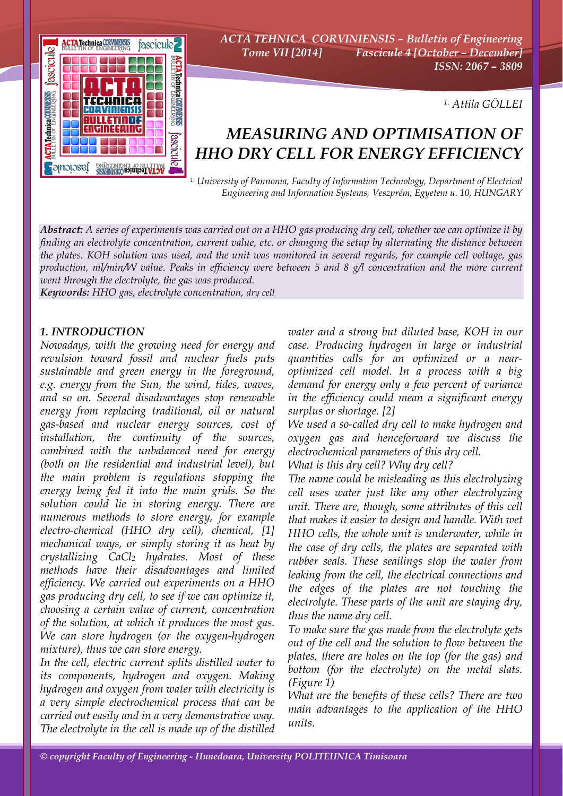

*ACTA TEHNICA CORVINIENSIS – Bulletin of Engineering Tome VII [2014] Fascicule 4 [October – December] ISSN: 2067 – 3809* 

*1. Attila GÖLLEI* 

# *MEASURING AND OPTIMISATION OF HHO DRY CELL FOR ENERGY EFFICIENCY*

*1. University of Pannonia, Faculty of Information Technology, Department of Electrical Engineering and Information Systems, Veszprém, Egyetem u. 10, HUNGARY*

*Abstract: A series of experiments was carried out on a HHO gas producing dry cell, whether we can optimize it by finding an electrolyte concentration, current value, etc. or changing the setup by alternating the distance between the plates. KOH solution was used, and the unit was monitored in several regards, for example cell voltage, gas production, ml/min/W value. Peaks in efficiency were between 5 and 8 g/l concentration and the more current went through the electrolyte, the gas was produced.* 

*Keywords: HHO gas, electrolyte concentration, dry cell*

### *1. INTRODUCTION*

*Nowadays, with the growing need for energy and revulsion toward fossil and nuclear fuels puts sustainable and green energy in the foreground, e.g. energy from the Sun, the wind, tides, waves, and so on. Several disadvantages stop renewable energy from replacing traditional, oil or natural gas-based and nuclear energy sources, cost of installation, the continuity of the sources, combined with the unbalanced need for energy (both on the residential and industrial level), but the main problem is regulations stopping the energy being fed it into the main grids. So the solution could lie in storing energy. There are numerous methods to store energy, for example electro-chemical (HHO dry cell), chemical, [1] mechanical ways, or simply storing it as heat by crystallizing CaCl2 hydrates. Most of these methods have their disadvantages and limited efficiency. We carried out experiments on a HHO gas producing dry cell, to see if we can optimize it, choosing a certain value of current, concentration of the solution, at which it produces the most gas. We can store hydrogen (or the oxygen-hydrogen mixture), thus we can store energy.* 

*In the cell, electric current splits distilled water to its components, hydrogen and oxygen. Making hydrogen and oxygen from water with electricity is a very simple electrochemical process that can be carried out easily and in a very demonstrative way. The electrolyte in the cell is made up of the distilled*  *water and a strong but diluted base, KOH in our case. Producing hydrogen in large or industrial quantities calls for an optimized or a nearoptimized cell model. In a process with a big demand for energy only a few percent of variance in the efficiency could mean a significant energy surplus or shortage. [2]* 

*We used a so-called dry cell to make hydrogen and oxygen gas and henceforward we discuss the electrochemical parameters of this dry cell.* 

*What is this dry cell? Why dry cell?* 

*The name could be misleading as this electrolyzing cell uses water just like any other electrolyzing unit. There are, though, some attributes of this cell that makes it easier to design and handle. With wet HHO cells, the whole unit is underwater, while in the case of dry cells, the plates are separated with rubber seals. These seailings stop the water from leaking from the cell, the electrical connections and the edges of the plates are not touching the electrolyte. These parts of the unit are staying dry, thus the name dry cell.* 

*To make sure the gas made from the electrolyte gets out of the cell and the solution to flow between the plates, there are holes on the top (for the gas) and bottom (for the electrolyte) on the metal slats. (Figure 1)* 

*What are the benefits of these cells? There are two main advantages to the application of the HHO units.*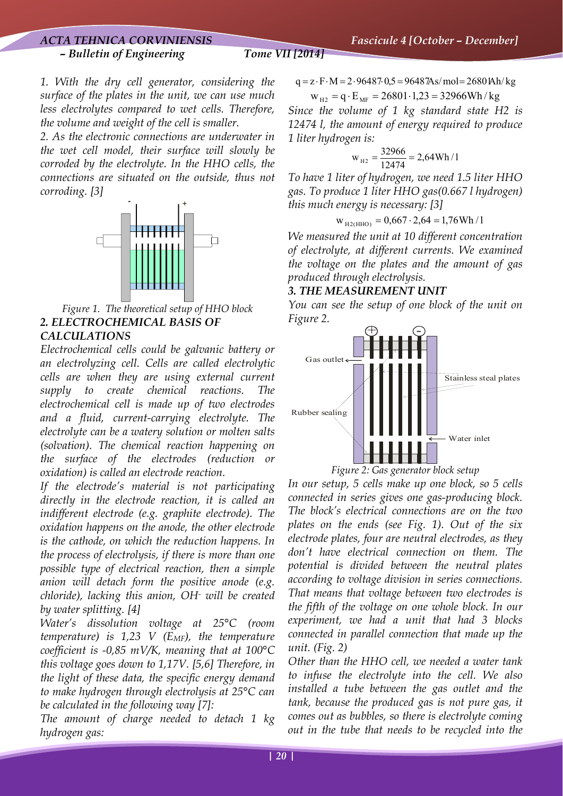# *ACTA TEHNICA CORVINIENSIS Fascicule 4 [October – December] – Bulletin of Engineering Tome VII [2014]*

*1. With the dry cell generator, considering the surface of the plates in the unit, we can use much less electrolytes compared to wet cells. Therefore, the volume and weight of the cell is smaller.* 

*2. As the electronic connections are underwater in the wet cell model, their surface will slowly be corroded by the electrolyte. In the HHO cells, the connections are situated on the outside, thus not corroding. [3]* 



*Figure 1. The theoretical setup of HHO block 2. ELECTROCHEMICAL BASIS OF CALCULATIONS* 

*Electrochemical cells could be galvanic battery or an electrolyzing cell. Cells are called electrolytic cells are when they are using external current supply to create chemical reactions. The electrochemical cell is made up of two electrodes and a fluid, current-carrying electrolyte. The electrolyte can be a watery solution or molten salts (solvation). The chemical reaction happening on the surface of the electrodes (reduction or oxidation) is called an electrode reaction.* 

*If the electrode's material is not participating directly in the electrode reaction, it is called an indifferent electrode (e.g. graphite electrode). The oxidation happens on the anode, the other electrode is the cathode, on which the reduction happens. In the process of electrolysis, if there is more than one possible type of electrical reaction, then a simple anion will detach form the positive anode (e.g. chloride), lacking this anion, OH- will be created by water splitting. [4]* 

*Water's dissolution voltage at 25°C (room temperature) is 1,23 V (EMF), the temperature coefficient is -0,85 mV/K, meaning that at 100°C this voltage goes down to 1,17V. [5,6] Therefore, in the light of these data, the specific energy demand to make hydrogen through electrolysis at 25°C can be calculated in the following way [7]:* 

*The amount of charge needed to detach 1 kg hydrogen gas:* 

$$
q = z \cdot F \cdot M = 2 \cdot 96487 \cdot 0.5 = 96487 \text{As/mol} = 2680 \text{Ah/kg}
$$
  

$$
w_{H2} = q \cdot E_{MF} = 26801 \cdot 1.23 = 32966 \text{Wh/kg}
$$

*Since the volume of 1 kg standard state H2 is 12474 l, the amount of energy required to produce 1 liter hydrogen is:* 

$$
w_{_{H2}}=\frac{32966}{12474}=2{,}64\,Wh\,/\,l
$$

*To have 1 liter of hydrogen, we need 1.5 liter HHO gas. To produce 1 liter HHO gas(0.667 l hydrogen) this much energy is necessary: [3]* 

$$
w_{\text{H2(HHO)}} = 0,667 \cdot 2,64 = 1,76 \text{Wh} / \text{I}
$$

*We measured the unit at 10 different concentration of electrolyte, at different currents. We examined the voltage on the plates and the amount of gas produced through electrolysis.* 

# *3. THE MEASUREMENT UNIT*

*You can see the setup of one block of the unit on Figure 2.* 



*Figure 2: Gas generator block setup* 

*In our setup, 5 cells make up one block, so 5 cells connected in series gives one gas-producing block. The block's electrical connections are on the two plates on the ends (see Fig. 1). Out of the six electrode plates, four are neutral electrodes, as they don't have electrical connection on them. The potential is divided between the neutral plates according to voltage division in series connections. That means that voltage between two electrodes is the fifth of the voltage on one whole block. In our experiment, we had a unit that had 3 blocks connected in parallel connection that made up the unit. (Fig. 2)* 

*Other than the HHO cell, we needed a water tank to infuse the electrolyte into the cell. We also installed a tube between the gas outlet and the tank, because the produced gas is not pure gas, it comes out as bubbles, so there is electrolyte coming out in the tube that needs to be recycled into the*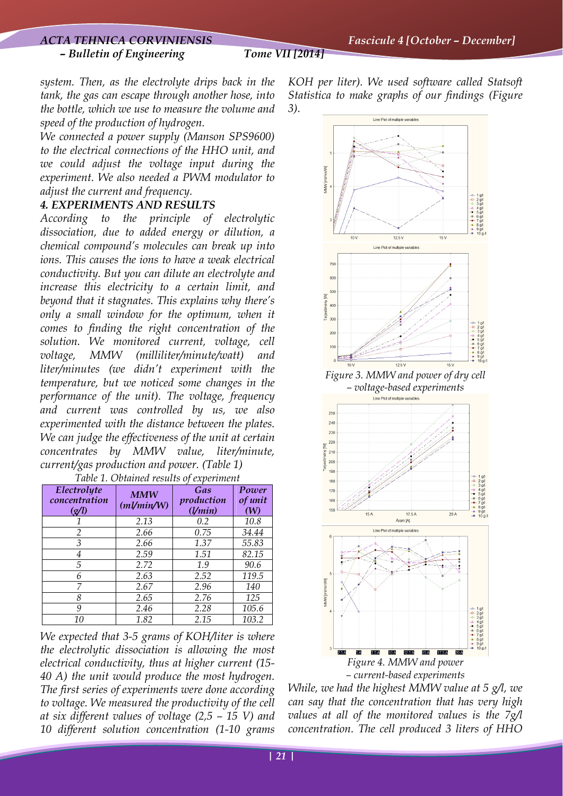*system. Then, as the electrolyte drips back in the tank, the gas can escape through another hose, into the bottle, which we use to measure the volume and speed of the production of hydrogen.* 

*We connected a power supply (Manson SPS9600) to the electrical connections of the HHO unit, and we could adjust the voltage input during the experiment. We also needed a PWM modulator to adjust the current and frequency.* 

# *4. EXPERIMENTS AND RESULTS*

*According to the principle of electrolytic dissociation, due to added energy or dilution, a chemical compound's molecules can break up into ions. This causes the ions to have a weak electrical conductivity. But you can dilute an electrolyte and increase this electricity to a certain limit, and beyond that it stagnates. This explains why there's only a small window for the optimum, when it comes to finding the right concentration of the solution. We monitored current, voltage, cell voltage, MMW (milliliter/minute/watt) and liter/minutes (we didn't experiment with the temperature, but we noticed some changes in the performance of the unit). The voltage, frequency and current was controlled by us, we also experimented with the distance between the plates. We can judge the effectiveness of the unit at certain concentrates by MMW value, liter/minute, current/gas production and power. (Table 1) Table 1. Obtained results of experiment*

| There I. Obtained results of experiment                     |                          |                              |                         |
|-------------------------------------------------------------|--------------------------|------------------------------|-------------------------|
| Electrolyte<br>concentration<br>$\left( \mathcal{A}\right)$ | <b>MMW</b><br>(ml/min/W) | Gas<br>production<br>(1/min) | Power<br>of unit<br>(W) |
|                                                             | 2.13                     | 0.2                          | 10.8                    |
| $\mathcal{P}$                                               | 2.66                     | 0.75                         | 34.44                   |
| 3                                                           | 2.66                     | 1.37                         | 55.83                   |
| 4                                                           | 2.59                     | 1.51                         | 82.15                   |
| 5                                                           | 2.72                     | 1.9                          | 90.6                    |
| 6                                                           | 2.63                     | 2.52                         | 119.5                   |
| 7                                                           | 2.67                     | 2.96                         | 140                     |
| 8                                                           | 2.65                     | 2.76                         | 125                     |
| 9                                                           | 2.46                     | 2.28                         | 105.6                   |
| 10                                                          | 1.82                     | 2.15                         | 103.2                   |

*We expected that 3-5 grams of KOH/liter is where the electrolytic dissociation is allowing the most electrical conductivity, thus at higher current (15- 40 A) the unit would produce the most hydrogen. The first series of experiments were done according to voltage. We measured the productivity of the cell at six different values of voltage (2,5 – 15 V) and 10 different solution concentration (1-10 grams* 

*KOH per liter). We used software called Statsoft Statistica to make graphs of our findings (Figure 3).* 



*– current-based experiments* 

*While, we had the highest MMW value at 5 g/l, we can say that the concentration that has very high values at all of the monitored values is the 7g/l concentration. The cell produced 3 liters of HHO*